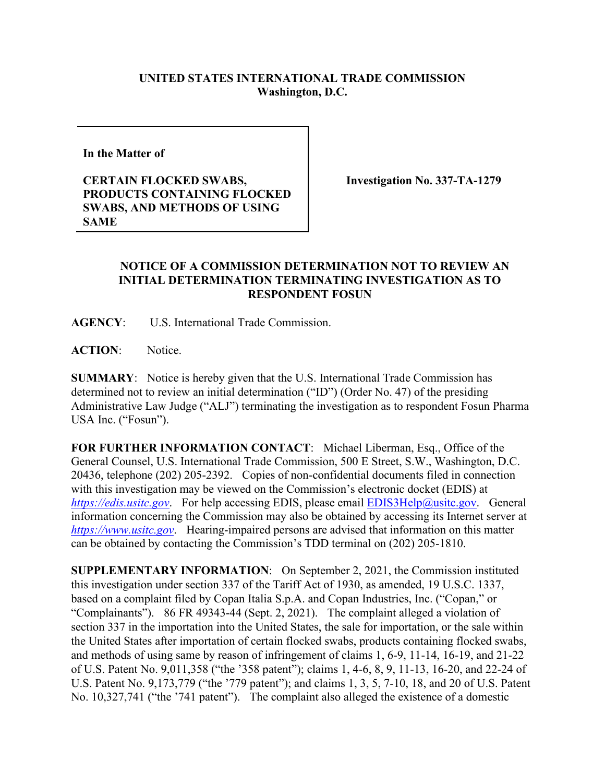## **UNITED STATES INTERNATIONAL TRADE COMMISSION Washington, D.C.**

**In the Matter of** 

**CERTAIN FLOCKED SWABS, PRODUCTS CONTAINING FLOCKED SWABS, AND METHODS OF USING SAME**

**Investigation No. 337-TA-1279** 

## **NOTICE OF A COMMISSION DETERMINATION NOT TO REVIEW AN INITIAL DETERMINATION TERMINATING INVESTIGATION AS TO RESPONDENT FOSUN**

**AGENCY**: U.S. International Trade Commission.

**ACTION**: Notice.

**SUMMARY**: Notice is hereby given that the U.S. International Trade Commission has determined not to review an initial determination ("ID") (Order No. 47) of the presiding Administrative Law Judge ("ALJ") terminating the investigation as to respondent Fosun Pharma USA Inc. ("Fosun").

**FOR FURTHER INFORMATION CONTACT**: Michael Liberman, Esq., Office of the General Counsel, U.S. International Trade Commission, 500 E Street, S.W., Washington, D.C. 20436, telephone (202) 205-2392. Copies of non-confidential documents filed in connection with this investigation may be viewed on the Commission's electronic docket (EDIS) at *[https://edis.usitc.gov](https://edis.usitc.gov/).* For help accessing EDIS, please email **EDIS3Help@usitc.gov**. General information concerning the Commission may also be obtained by accessing its Internet server at *[https://www.usitc.gov](https://www.usitc.gov/)*. Hearing-impaired persons are advised that information on this matter can be obtained by contacting the Commission's TDD terminal on (202) 205-1810.

**SUPPLEMENTARY INFORMATION**: On September 2, 2021, the Commission instituted this investigation under section 337 of the Tariff Act of 1930, as amended, 19 U.S.C. 1337, based on a complaint filed by Copan Italia S.p.A. and Copan Industries, Inc. ("Copan," or "Complainants"). 86 FR 49343-44 (Sept. 2, 2021). The complaint alleged a violation of section 337 in the importation into the United States, the sale for importation, or the sale within the United States after importation of certain flocked swabs, products containing flocked swabs, and methods of using same by reason of infringement of claims 1, 6-9, 11-14, 16-19, and 21-22 of U.S. Patent No. 9,011,358 ("the '358 patent"); claims 1, 4-6, 8, 9, 11-13, 16-20, and 22-24 of U.S. Patent No. 9,173,779 ("the '779 patent"); and claims 1, 3, 5, 7-10, 18, and 20 of U.S. Patent No. 10,327,741 ("the '741 patent"). The complaint also alleged the existence of a domestic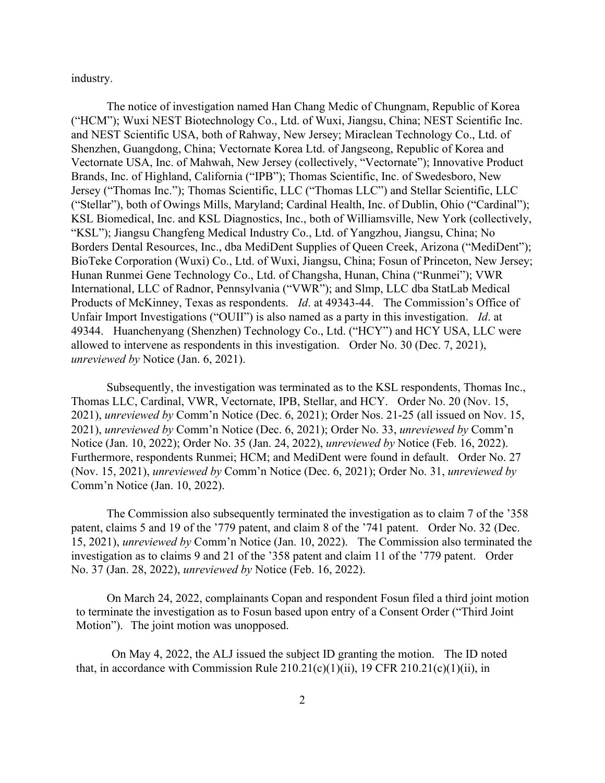industry.

The notice of investigation named Han Chang Medic of Chungnam, Republic of Korea ("HCM"); Wuxi NEST Biotechnology Co., Ltd. of Wuxi, Jiangsu, China; NEST Scientific Inc. and NEST Scientific USA, both of Rahway, New Jersey; Miraclean Technology Co., Ltd. of Shenzhen, Guangdong, China; Vectornate Korea Ltd. of Jangseong, Republic of Korea and Vectornate USA, Inc. of Mahwah, New Jersey (collectively, "Vectornate"); Innovative Product Brands, Inc. of Highland, California ("IPB"); Thomas Scientific, Inc. of Swedesboro, New Jersey ("Thomas Inc."); Thomas Scientific, LLC ("Thomas LLC") and Stellar Scientific, LLC ("Stellar"), both of Owings Mills, Maryland; Cardinal Health, Inc. of Dublin, Ohio ("Cardinal"); KSL Biomedical, Inc. and KSL Diagnostics, Inc., both of Williamsville, New York (collectively, "KSL"); Jiangsu Changfeng Medical Industry Co., Ltd. of Yangzhou, Jiangsu, China; No Borders Dental Resources, Inc., dba MediDent Supplies of Queen Creek, Arizona ("MediDent"); BioTeke Corporation (Wuxi) Co., Ltd. of Wuxi, Jiangsu, China; Fosun of Princeton, New Jersey; Hunan Runmei Gene Technology Co., Ltd. of Changsha, Hunan, China ("Runmei"); VWR International, LLC of Radnor, Pennsylvania ("VWR"); and Slmp, LLC dba StatLab Medical Products of McKinney, Texas as respondents. *Id*. at 49343-44. The Commission's Office of Unfair Import Investigations ("OUII") is also named as a party in this investigation. *Id*. at 49344. Huanchenyang (Shenzhen) Technology Co., Ltd. ("HCY") and HCY USA, LLC were allowed to intervene as respondents in this investigation. Order No. 30 (Dec. 7, 2021), *unreviewed by* Notice (Jan. 6, 2021).

Subsequently, the investigation was terminated as to the KSL respondents, Thomas Inc., Thomas LLC, Cardinal, VWR, Vectornate, IPB, Stellar, and HCY. Order No. 20 (Nov. 15, 2021), *unreviewed by* Comm'n Notice (Dec. 6, 2021); Order Nos. 21-25 (all issued on Nov. 15, 2021), *unreviewed by* Comm'n Notice (Dec. 6, 2021); Order No. 33, *unreviewed by* Comm'n Notice (Jan. 10, 2022); Order No. 35 (Jan. 24, 2022), *unreviewed by* Notice (Feb. 16, 2022). Furthermore, respondents Runmei; HCM; and MediDent were found in default. Order No. 27 (Nov. 15, 2021), *unreviewed by* Comm'n Notice (Dec. 6, 2021); Order No. 31, *unreviewed by* Comm'n Notice (Jan. 10, 2022).

The Commission also subsequently terminated the investigation as to claim 7 of the '358 patent, claims 5 and 19 of the '779 patent, and claim 8 of the '741 patent. Order No. 32 (Dec. 15, 2021), *unreviewed by* Comm'n Notice (Jan. 10, 2022). The Commission also terminated the investigation as to claims 9 and 21 of the '358 patent and claim 11 of the '779 patent. Order No. 37 (Jan. 28, 2022), *unreviewed by* Notice (Feb. 16, 2022).

On March 24, 2022, complainants Copan and respondent Fosun filed a third joint motion to terminate the investigation as to Fosun based upon entry of a Consent Order ("Third Joint Motion"). The joint motion was unopposed.

On May 4, 2022, the ALJ issued the subject ID granting the motion. The ID noted that, in accordance with Commission Rule  $210.21(c)(1)(ii)$ , 19 CFR  $210.21(c)(1)(ii)$ , in